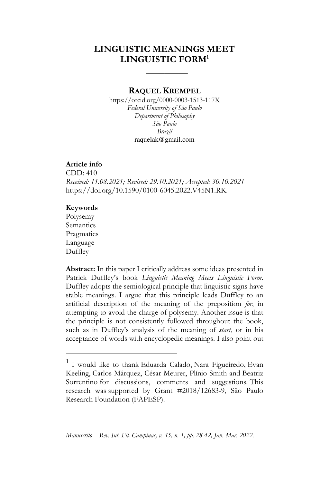# **LINGUISTIC MEANINGS MEET LINGUISTIC FORM<sup>1</sup>**

 **\_\_\_\_\_\_\_\_\_** 

## **RAQUEL KREMPEL**

https://orcid.org/0000-0003-1513-117X *Federal University of São Paulo Department of Philosophy São Paulo Brazil*  raquelak@gmail.com

### **Article info**

CDD: 410 *Received: 11.08.2021; Revised: 29.10.2021; Accepted: 30.10.2021*  https://doi.org/10.1590/0100-6045.2022.V45N1.RK

### **Keywords**

Polysemy Semantics **Pragmatics** Language Duffley

-

**Abstract:** In this paper I critically address some ideas presented in Patrick Duffley's book *Linguistic Meaning Meets Linguistic Form*. Duffley adopts the semiological principle that linguistic signs have stable meanings. I argue that this principle leads Duffley to an artificial description of the meaning of the preposition *for*, in attempting to avoid the charge of polysemy. Another issue is that the principle is not consistently followed throughout the book, such as in Duffley's analysis of the meaning of *start*, or in his acceptance of words with encyclopedic meanings. I also point out

<sup>1</sup> I would like to thank Eduarda Calado, Nara Figueiredo, Evan Keeling, Carlos Márquez, César Meurer, Plínio Smith and Beatriz Sorrentino for discussions, comments and suggestions. This research was supported by Grant #2018/12683-9, São Paulo Research Foundation (FAPESP).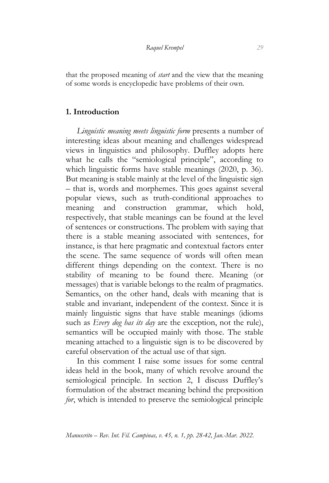that the proposed meaning of *start* and the view that the meaning of some words is encyclopedic have problems of their own.

## **1. Introduction**

*Linguistic meaning meets linguistic form* presents a number of interesting ideas about meaning and challenges widespread views in linguistics and philosophy. Duffley adopts here what he calls the "semiological principle", according to which linguistic forms have stable meanings (2020, p. 36). But meaning is stable mainly at the level of the linguistic sign – that is, words and morphemes. This goes against several popular views, such as truth-conditional approaches to meaning and construction grammar, which hold, respectively, that stable meanings can be found at the level of sentences or constructions. The problem with saying that there is a stable meaning associated with sentences, for instance, is that here pragmatic and contextual factors enter the scene. The same sequence of words will often mean different things depending on the context. There is no stability of meaning to be found there. Meaning (or messages) that is variable belongs to the realm of pragmatics. Semantics, on the other hand, deals with meaning that is stable and invariant, independent of the context. Since it is mainly linguistic signs that have stable meanings (idioms such as *Every dog has its day* are the exception, not the rule), semantics will be occupied mainly with those. The stable meaning attached to a linguistic sign is to be discovered by careful observation of the actual use of that sign.

In this comment I raise some issues for some central ideas held in the book, many of which revolve around the semiological principle. In section 2, I discuss Duffley's formulation of the abstract meaning behind the preposition *for*, which is intended to preserve the semiological principle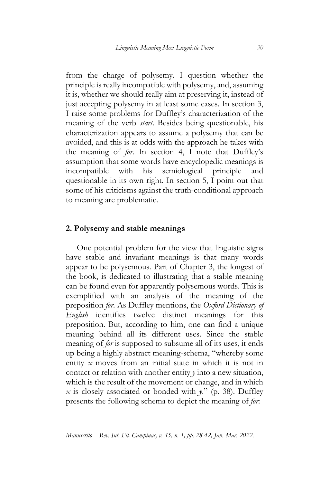from the charge of polysemy. I question whether the principle is really incompatible with polysemy, and, assuming it is, whether we should really aim at preserving it, instead of just accepting polysemy in at least some cases. In section 3, I raise some problems for Duffley's characterization of the meaning of the verb *start*. Besides being questionable, his characterization appears to assume a polysemy that can be avoided, and this is at odds with the approach he takes with the meaning of *for*. In section 4, I note that Duffley's assumption that some words have encyclopedic meanings is incompatible with his semiological principle and questionable in its own right. In section 5, I point out that some of his criticisms against the truth-conditional approach to meaning are problematic.

## **2. Polysemy and stable meanings**

One potential problem for the view that linguistic signs have stable and invariant meanings is that many words appear to be polysemous. Part of Chapter 3, the longest of the book, is dedicated to illustrating that a stable meaning can be found even for apparently polysemous words. This is exemplified with an analysis of the meaning of the preposition *for*. As Duffley mentions, the *Oxford Dictionary of English* identifies twelve distinct meanings for this preposition. But, according to him, one can find a unique meaning behind all its different uses. Since the stable meaning of *for* is supposed to subsume all of its uses, it ends up being a highly abstract meaning-schema, "whereby some entity *x* moves from an initial state in which it is not in contact or relation with another entity *y* into a new situation, which is the result of the movement or change, and in which *x* is closely associated or bonded with *y*." (p. 38). Duffley presents the following schema to depict the meaning of *for*: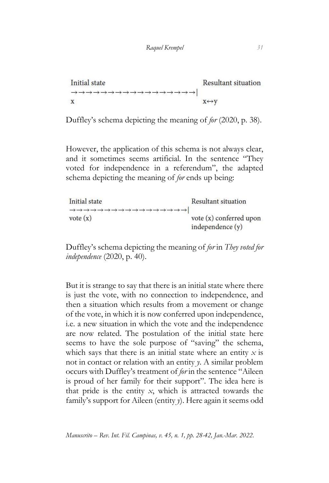```
Initial state
                                                                                                                                                        Resultant situation
\rightarrow \rightarrow \rightarrow \rightarrow \rightarrow \rightarrow \rightarrow \rightarrow \rightarrow \rightarrow \rightarrow \rightarrow \rightarrow\rightarrow \rightarrow \rightarrow \rightarrow \rightarrow \rightarrow \rightarrowX \leftrightarrow VX
```
Duffley's schema depicting the meaning of *for* (2020, p. 38).

However, the application of this schema is not always clear, and it sometimes seems artificial. In the sentence "They voted for independence in a referendum", the adapted schema depicting the meaning of *for* ends up being:

| Initial state | Resultant situation     |
|---------------|-------------------------|
|               |                         |
| vote $(x)$    | vote (x) conferred upon |
|               | independence (y)        |

Duffley's schema depicting the meaning of *for* in *They voted for independence* (2020, p. 40).

But it is strange to say that there is an initial state where there is just the vote, with no connection to independence, and then a situation which results from a movement or change of the vote, in which it is now conferred upon independence, i.e. a new situation in which the vote and the independence are now related. The postulation of the initial state here seems to have the sole purpose of "saving" the schema, which says that there is an initial state where an entity  $x$  is not in contact or relation with an entity *y*. A similar problem occurs with Duffley's treatment of *for* in the sentence "Aileen is proud of her family for their support". The idea here is that pride is the entity *x*, which is attracted towards the family's support for Aileen (entity *y*). Here again it seems odd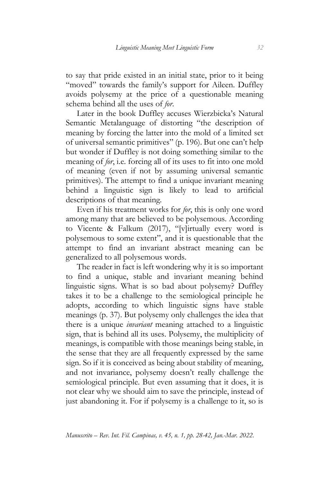to say that pride existed in an initial state, prior to it being "moved" towards the family's support for Aileen. Duffley avoids polysemy at the price of a questionable meaning schema behind all the uses of *for*.

Later in the book Duffley accuses Wierzbicka's Natural Semantic Metalanguage of distorting "the description of meaning by forcing the latter into the mold of a limited set of universal semantic primitives" (p. 196). But one can't help but wonder if Duffley is not doing something similar to the meaning of *for*, i.e. forcing all of its uses to fit into one mold of meaning (even if not by assuming universal semantic primitives). The attempt to find a unique invariant meaning behind a linguistic sign is likely to lead to artificial descriptions of that meaning.

Even if his treatment works for *for*, this is only one word among many that are believed to be polysemous. According to Vicente & Falkum (2017), "[v]irtually every word is polysemous to some extent", and it is questionable that the attempt to find an invariant abstract meaning can be generalized to all polysemous words.

The reader in fact is left wondering why it is so important to find a unique, stable and invariant meaning behind linguistic signs. What is so bad about polysemy? Duffley takes it to be a challenge to the semiological principle he adopts, according to which linguistic signs have stable meanings (p. 37). But polysemy only challenges the idea that there is a unique *invariant* meaning attached to a linguistic sign, that is behind all its uses. Polysemy, the multiplicity of meanings, is compatible with those meanings being stable, in the sense that they are all frequently expressed by the same sign. So if it is conceived as being about stability of meaning, and not invariance, polysemy doesn't really challenge the semiological principle. But even assuming that it does, it is not clear why we should aim to save the principle, instead of just abandoning it. For if polysemy is a challenge to it, so is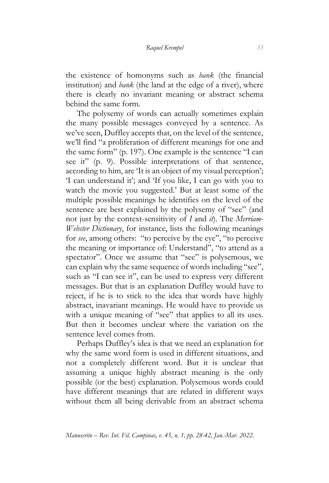the existence of homonyms such as *bank* (the financial institution) and *bank* (the land at the edge of a river), where there is clearly no invariant meaning or abstract schema behind the same form.

The polysemy of words can actually sometimes explain the many possible messages conveyed by a sentence. As we've seen, Duffley accepts that, on the level of the sentence, we'll find "a proliferation of different meanings for one and the same form" (p. 197). One example is the sentence "I can see it" (p. 9). Possible interpretations of that sentence, according to him, are 'It is an object of my visual perception'; 'I can understand it'; and 'If you like, I can go with you to watch the movie you suggested.' But at least some of the multiple possible meanings he identifies on the level of the sentence are best explained by the polysemy of "see" (and not just by the context-sensitivity of *I* and *it*). The *Merriam-Webster Dictionary*, for instance, lists the following meanings for *see*, among others: "to perceive by the eye", "to perceive the meaning or importance of: Understand", "to attend as a spectator". Once we assume that "see" is polysemous, we can explain why the same sequence of words including "see", such as "I can see it", can be used to express very different messages. But that is an explanation Duffley would have to reject, if he is to stick to the idea that words have highly abstract, inavariant meanings. He would have to provide us with a unique meaning of "see" that applies to all its uses. But then it becomes unclear where the variation on the sentence level comes from.

Perhaps Duffley's idea is that we need an explanation for why the same word form is used in different situations, and not a completely different word. But it is unclear that assuming a unique highly abstract meaning is the only possible (or the best) explanation. Polysemous words could have different meanings that are related in different ways without them all being derivable from an abstract schema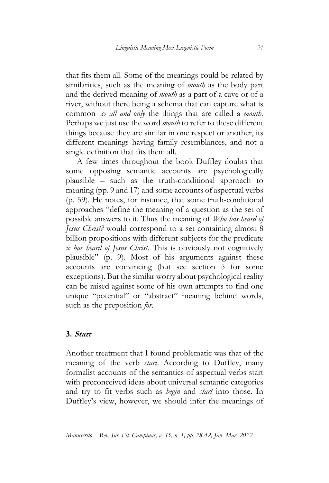that fits them all. Some of the meanings could be related by similarities, such as the meaning of *mouth* as the body part and the derived meaning of *mouth* as a part of a cave or of a river, without there being a schema that can capture what is common to *all and only* the things that are called a *mouth*. Perhaps we just use the word *mouth* to refer to these different things because they are similar in one respect or another, its different meanings having family resemblances, and not a single definition that fits them all.

A few times throughout the book Duffley doubts that some opposing semantic accounts are psychologically plausible – such as the truth-conditional approach to meaning (pp. 9 and 17) and some accounts of aspectual verbs (p. 59). He notes, for instance, that some truth-conditional approaches "define the meaning of a question as the set of possible answers to it. Thus the meaning of *Who has heard of Jesus Christ?* would correspond to a set containing almost 8 billion propositions with different subjects for the predicate *x has heard of Jesus Christ*. This is obviously not cognitively plausible" (p. 9). Most of his arguments against these accounts are convincing (but see section 5 for some exceptions). But the similar worry about psychological reality can be raised against some of his own attempts to find one unique "potential" or "abstract" meaning behind words, such as the preposition *for*.

## **3. Start**

Another treatment that I found problematic was that of the meaning of the verb *start*. According to Duffley, many formalist accounts of the semantics of aspectual verbs start with preconceived ideas about universal semantic categories and try to fit verbs such as *begin* and *start* into those. In Duffley's view, however, we should infer the meanings of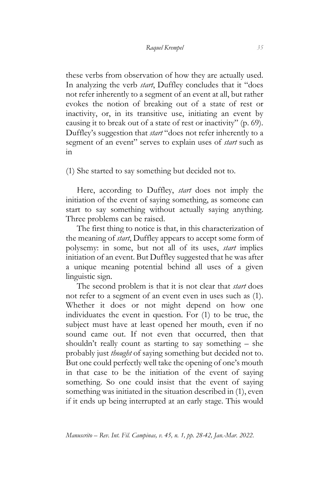these verbs from observation of how they are actually used. In analyzing the verb *start*, Duffley concludes that it "does not refer inherently to a segment of an event at all, but rather evokes the notion of breaking out of a state of rest or inactivity, or, in its transitive use, initiating an event by causing it to break out of a state of rest or inactivity" (p. 69). Duffley's suggestion that *start* "does not refer inherently to a segment of an event" serves to explain uses of *start* such as in

(1) She started to say something but decided not to.

Here, according to Duffley, *start* does not imply the initiation of the event of saying something, as someone can start to say something without actually saying anything. Three problems can be raised.

The first thing to notice is that, in this characterization of the meaning of *start*, Duffley appears to accept some form of polysemy: in some, but not all of its uses, *start* implies initiation of an event. But Duffley suggested that he was after a unique meaning potential behind all uses of a given linguistic sign.

The second problem is that it is not clear that *start* does not refer to a segment of an event even in uses such as (1). Whether it does or not might depend on how one individuates the event in question. For (1) to be true, the subject must have at least opened her mouth, even if no sound came out. If not even that occurred, then that shouldn't really count as starting to say something – she probably just *thought* of saying something but decided not to. But one could perfectly well take the opening of one's mouth in that case to be the initiation of the event of saying something. So one could insist that the event of saying something was initiated in the situation described in (1), even if it ends up being interrupted at an early stage. This would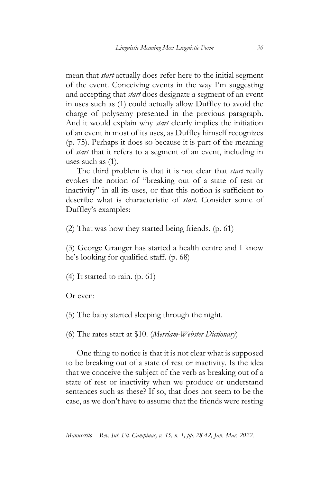mean that *start* actually does refer here to the initial segment of the event. Conceiving events in the way I'm suggesting and accepting that *start* does designate a segment of an event in uses such as (1) could actually allow Duffley to avoid the charge of polysemy presented in the previous paragraph. And it would explain why *start* clearly implies the initiation of an event in most of its uses, as Duffley himself recognizes (p. 75). Perhaps it does so because it is part of the meaning of *start* that it refers to a segment of an event, including in uses such as (1).

The third problem is that it is not clear that *start* really evokes the notion of "breaking out of a state of rest or inactivity" in all its uses, or that this notion is sufficient to describe what is characteristic of *start*. Consider some of Duffley's examples:

(2) That was how they started being friends. (p. 61)

(3) George Granger has started a health centre and I know he's looking for qualified staff. (p. 68)

(4) It started to rain. (p. 61)

Or even:

(5) The baby started sleeping through the night.

(6) The rates start at \$10. (*Merriam-Webster Dictionary*)

One thing to notice is that it is not clear what is supposed to be breaking out of a state of rest or inactivity. Is the idea that we conceive the subject of the verb as breaking out of a state of rest or inactivity when we produce or understand sentences such as these? If so, that does not seem to be the case, as we don't have to assume that the friends were resting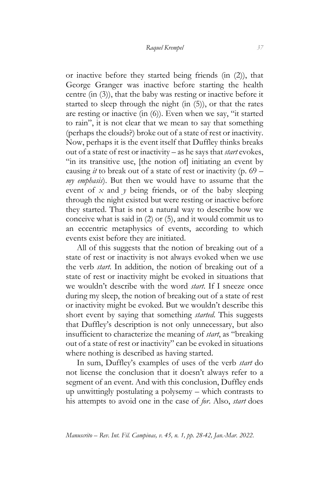or inactive before they started being friends (in (2)), that George Granger was inactive before starting the health centre (in (3)), that the baby was resting or inactive before it started to sleep through the night (in (5)), or that the rates are resting or inactive (in (6)). Even when we say, "it started to rain", it is not clear that we mean to say that something (perhaps the clouds?) broke out of a state of rest or inactivity. Now, perhaps it is the event itself that Duffley thinks breaks out of a state of rest or inactivity – as he says that *start* evokes, "in its transitive use, [the notion of] initiating an event by causing *it* to break out of a state of rest or inactivity (p. 69 – *my emphasis*). But then we would have to assume that the event of *x* and *y* being friends, or of the baby sleeping through the night existed but were resting or inactive before they started. That is not a natural way to describe how we conceive what is said in (2) or (5), and it would commit us to an eccentric metaphysics of events, according to which events exist before they are initiated.

All of this suggests that the notion of breaking out of a state of rest or inactivity is not always evoked when we use the verb *start*. In addition, the notion of breaking out of a state of rest or inactivity might be evoked in situations that we wouldn't describe with the word *start*. If I sneeze once during my sleep, the notion of breaking out of a state of rest or inactivity might be evoked. But we wouldn't describe this short event by saying that something *started*. This suggests that Duffley's description is not only unnecessary, but also insufficient to characterize the meaning of *start*, as "breaking out of a state of rest or inactivity" can be evoked in situations where nothing is described as having started.

In sum, Duffley's examples of uses of the verb *start* do not license the conclusion that it doesn't always refer to a segment of an event. And with this conclusion, Duffley ends up unwittingly postulating a polysemy – which contrasts to his attempts to avoid one in the case of *for*. Also, *start* does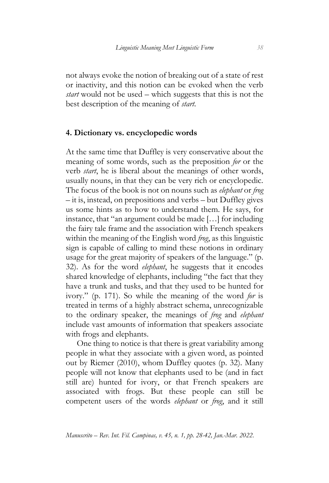not always evoke the notion of breaking out of a state of rest or inactivity, and this notion can be evoked when the verb *start* would not be used – which suggests that this is not the best description of the meaning of *start*.

## **4. Dictionary vs. encyclopedic words**

At the same time that Duffley is very conservative about the meaning of some words, such as the preposition *for* or the verb *start*, he is liberal about the meanings of other words, usually nouns, in that they can be very rich or encyclopedic. The focus of the book is not on nouns such as *elephant* or *frog* – it is, instead, on prepositions and verbs – but Duffley gives us some hints as to how to understand them. He says, for instance, that "an argument could be made […] for including the fairy tale frame and the association with French speakers within the meaning of the English word *frog*, as this linguistic sign is capable of calling to mind these notions in ordinary usage for the great majority of speakers of the language." (p. 32). As for the word *elephant*, he suggests that it encodes shared knowledge of elephants, including "the fact that they have a trunk and tusks, and that they used to be hunted for ivory." (p. 171). So while the meaning of the word *for* is treated in terms of a highly abstract schema, unrecognizable to the ordinary speaker, the meanings of *frog* and *elephant* include vast amounts of information that speakers associate with frogs and elephants.

One thing to notice is that there is great variability among people in what they associate with a given word, as pointed out by Riemer (2010), whom Duffley quotes (p. 32). Many people will not know that elephants used to be (and in fact still are) hunted for ivory, or that French speakers are associated with frogs. But these people can still be competent users of the words *elephant* or *frog*, and it still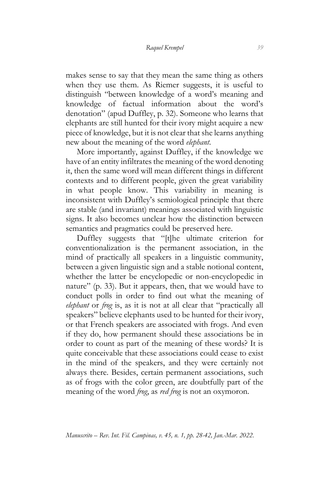makes sense to say that they mean the same thing as others when they use them. As Riemer suggests, it is useful to distinguish "between knowledge of a word's meaning and knowledge of factual information about the word's denotation" (apud Duffley, p. 32). Someone who learns that elephants are still hunted for their ivory might acquire a new piece of knowledge, but it is not clear that she learns anything new about the meaning of the word *elephant*.

More importantly, against Duffley, if the knowledge we have of an entity infiltrates the meaning of the word denoting it, then the same word will mean different things in different contexts and to different people, given the great variability in what people know. This variability in meaning is inconsistent with Duffley's semiological principle that there are stable (and invariant) meanings associated with linguistic signs. It also becomes unclear how the distinction between semantics and pragmatics could be preserved here.

Duffley suggests that "[t]he ultimate criterion for conventionalization is the permanent association, in the mind of practically all speakers in a linguistic community, between a given linguistic sign and a stable notional content, whether the latter be encyclopedic or non-encyclopedic in nature" (p. 33). But it appears, then, that we would have to conduct polls in order to find out what the meaning of *elephant* or *frog* is, as it is not at all clear that "practically all speakers" believe elephants used to be hunted for their ivory, or that French speakers are associated with frogs. And even if they do, how permanent should these associations be in order to count as part of the meaning of these words? It is quite conceivable that these associations could cease to exist in the mind of the speakers, and they were certainly not always there. Besides, certain permanent associations, such as of frogs with the color green, are doubtfully part of the meaning of the word *frog*, as *red frog* is not an oxymoron.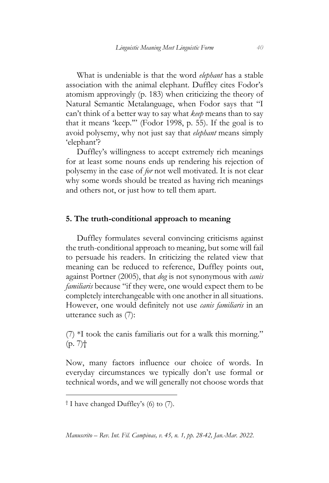What is undeniable is that the word *elephant* has a stable association with the animal elephant. Duffley cites Fodor's atomism approvingly (p. 183) when criticizing the theory of Natural Semantic Metalanguage, when Fodor says that "I can't think of a better way to say what *keep* means than to say that it means 'keep.'" (Fodor 1998, p. 55). If the goal is to avoid polysemy, why not just say that *elephant* means simply 'elephant'?

Duffley's willingness to accept extremely rich meanings for at least some nouns ends up rendering his rejection of polysemy in the case of *for* not well motivated. It is not clear why some words should be treated as having rich meanings and others not, or just how to tell them apart.

### **5. The truth-conditional approach to meaning**

Duffley formulates several convincing criticisms against the truth-conditional approach to meaning, but some will fail to persuade his readers. In criticizing the related view that meaning can be reduced to reference, Duffley points out, against Portner (2005), that *dog* is not synonymous with *canis familiaris* because "if they were, one would expect them to be completely interchangeable with one another in all situations. However, one would definitely not use *canis familiaris* in an utterance such as (7):

 $(7)$  \*I took the canis familiaris out for a walk this morning."  $(p. 7)$ †

Now, many factors influence our choice of words. In everyday circumstances we typically don't use formal or technical words, and we will generally not choose words that

-

*Manuscrito – Rev. Int. Fil. Campinas, v. 45, n. 1, pp. 28-42, Jan.-Mar. 2022.*

<sup>†</sup> I have changed Duffley's (6) to (7).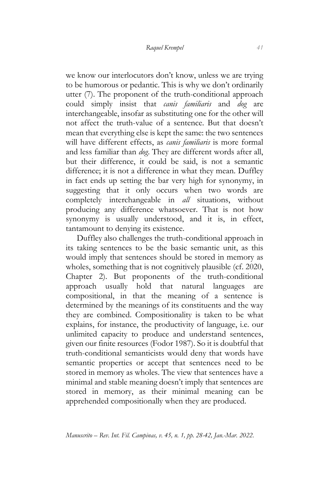we know our interlocutors don't know, unless we are trying to be humorous or pedantic. This is why we don't ordinarily utter (7). The proponent of the truth-conditional approach could simply insist that *canis familiaris* and *dog* are interchangeable, insofar as substituting one for the other will not affect the truth-value of a sentence. But that doesn't mean that everything else is kept the same: the two sentences will have different effects, as *canis familiaris* is more formal and less familiar than *dog*. They are different words after all, but their difference, it could be said, is not a semantic difference; it is not a difference in what they mean. Duffley in fact ends up setting the bar very high for synonymy, in suggesting that it only occurs when two words are completely interchangeable in *all* situations, without producing any difference whatsoever. That is not how synonymy is usually understood, and it is, in effect, tantamount to denying its existence.

Duffley also challenges the truth-conditional approach in its taking sentences to be the basic semantic unit, as this would imply that sentences should be stored in memory as wholes, something that is not cognitively plausible (cf. 2020, Chapter 2). But proponents of the truth-conditional approach usually hold that natural languages are compositional, in that the meaning of a sentence is determined by the meanings of its constituents and the way they are combined. Compositionality is taken to be what explains, for instance, the productivity of language, i.e. our unlimited capacity to produce and understand sentences, given our finite resources (Fodor 1987). So it is doubtful that truth-conditional semanticists would deny that words have semantic properties or accept that sentences need to be stored in memory as wholes. The view that sentences have a minimal and stable meaning doesn't imply that sentences are stored in memory, as their minimal meaning can be apprehended compositionally when they are produced.